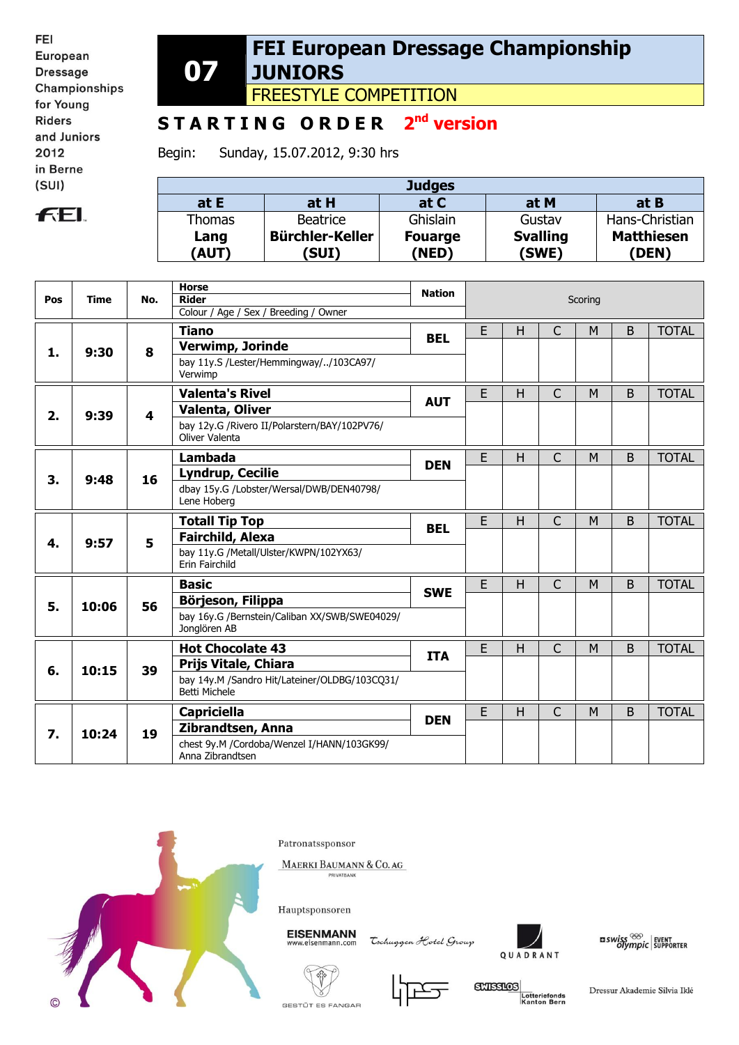FEI European **Dressage** Championships for Young **Riders** and Juniors 2012 in Berne  $(SUI)$ 

## **FEL**

**07 FEI European Dressage Championship JUNIORS**

FREESTYLE COMPETITION

## **S T A R T I N G O R D E R 2 nd version**

Begin: Sunday, 15.07.2012, 9:30 hrs

| <b>Judges</b> |                        |                |                 |                   |  |  |  |  |  |
|---------------|------------------------|----------------|-----------------|-------------------|--|--|--|--|--|
| at $E$        | at H                   | at C           | at M            | at B              |  |  |  |  |  |
| <b>Thomas</b> | <b>Beatrice</b>        | Ghislain       | Gustav          | Hans-Christian    |  |  |  |  |  |
| Lang          | <b>Bürchler-Keller</b> | <b>Fouarge</b> | <b>Svalling</b> | <b>Matthiesen</b> |  |  |  |  |  |
| (AUT)         | (SUI)                  | (NED)          | (SWE)           | (DEN)             |  |  |  |  |  |

| <b>Rider</b><br>Pos<br><b>Time</b><br>No.<br>Scoring<br>Colour / Age / Sex / Breeding / Owner<br>E<br>$\mathsf{C}$<br><b>Tiano</b><br>H<br>B<br>M<br><b>BEL</b><br>Verwimp, Jorinde<br>8<br>1.<br>9:30<br>bay 11y.S /Lester/Hemmingway//103CA97/<br>Verwimp<br>E<br><b>Valenta's Rivel</b><br>H<br>$\mathsf{C}$<br>B<br>M<br><b>AUT</b><br><b>Valenta, Oliver</b><br>2.<br>9:39<br>4<br>bay 12y.G /Rivero II/Polarstern/BAY/102PV76/<br>Oliver Valenta<br>E<br>H<br>$\mathsf{C}$<br>B<br>M<br>Lambada<br><b>DEN</b><br>3. |            |                  |            |  |  | <b>TOTAL</b><br><b>TOTAL</b> |
|---------------------------------------------------------------------------------------------------------------------------------------------------------------------------------------------------------------------------------------------------------------------------------------------------------------------------------------------------------------------------------------------------------------------------------------------------------------------------------------------------------------------------|------------|------------------|------------|--|--|------------------------------|
|                                                                                                                                                                                                                                                                                                                                                                                                                                                                                                                           |            |                  |            |  |  |                              |
|                                                                                                                                                                                                                                                                                                                                                                                                                                                                                                                           |            |                  |            |  |  |                              |
|                                                                                                                                                                                                                                                                                                                                                                                                                                                                                                                           |            |                  |            |  |  |                              |
|                                                                                                                                                                                                                                                                                                                                                                                                                                                                                                                           |            |                  |            |  |  |                              |
|                                                                                                                                                                                                                                                                                                                                                                                                                                                                                                                           |            |                  |            |  |  |                              |
|                                                                                                                                                                                                                                                                                                                                                                                                                                                                                                                           |            |                  |            |  |  |                              |
|                                                                                                                                                                                                                                                                                                                                                                                                                                                                                                                           |            |                  |            |  |  |                              |
|                                                                                                                                                                                                                                                                                                                                                                                                                                                                                                                           |            |                  |            |  |  | <b>TOTAL</b>                 |
|                                                                                                                                                                                                                                                                                                                                                                                                                                                                                                                           | 16<br>9:48 | Lyndrup, Cecilie |            |  |  |                              |
| dbay 15y.G /Lobster/Wersal/DWB/DEN40798/<br>Lene Hoberg                                                                                                                                                                                                                                                                                                                                                                                                                                                                   |            |                  |            |  |  |                              |
| E<br>$\mathsf{C}$<br>B<br>H<br>M<br><b>Totall Tip Top</b>                                                                                                                                                                                                                                                                                                                                                                                                                                                                 |            |                  | <b>BEL</b> |  |  | <b>TOTAL</b>                 |
| <b>Fairchild, Alexa</b><br>5<br>4.<br>9:57                                                                                                                                                                                                                                                                                                                                                                                                                                                                                |            |                  |            |  |  |                              |
| bay 11y.G /Metall/Ulster/KWPN/102YX63/<br>Erin Fairchild                                                                                                                                                                                                                                                                                                                                                                                                                                                                  |            |                  |            |  |  |                              |
| E<br>H<br>$\mathsf{C}$<br>M<br>B<br><b>Basic</b>                                                                                                                                                                                                                                                                                                                                                                                                                                                                          |            |                  | <b>SWE</b> |  |  | <b>TOTAL</b>                 |
| Börjeson, Filippa<br>5.<br>10:06<br>56                                                                                                                                                                                                                                                                                                                                                                                                                                                                                    |            |                  |            |  |  |                              |
| bay 16y.G /Bernstein/Caliban XX/SWB/SWE04029/<br>Jonglören AB                                                                                                                                                                                                                                                                                                                                                                                                                                                             |            |                  |            |  |  |                              |
| E<br>$\mathsf{C}$<br><b>Hot Chocolate 43</b><br>H<br>M<br>B                                                                                                                                                                                                                                                                                                                                                                                                                                                               |            |                  | <b>ITA</b> |  |  | <b>TOTAL</b>                 |
| Prijs Vitale, Chiara<br>10:15<br>39<br>6.                                                                                                                                                                                                                                                                                                                                                                                                                                                                                 |            |                  |            |  |  |                              |
| bay 14y.M /Sandro Hit/Lateiner/OLDBG/103CQ31/<br>Betti Michele                                                                                                                                                                                                                                                                                                                                                                                                                                                            |            |                  |            |  |  |                              |
| E<br>$\mathsf{H}$<br>C<br>B<br><b>Capriciella</b><br>M<br><b>DEN</b>                                                                                                                                                                                                                                                                                                                                                                                                                                                      |            |                  |            |  |  | <b>TOTAL</b>                 |
| Zibrandtsen, Anna<br>7.<br>10:24<br>19                                                                                                                                                                                                                                                                                                                                                                                                                                                                                    |            |                  |            |  |  |                              |
| chest 9y.M /Cordoba/Wenzel I/HANN/103GK99/<br>Anna Zibrandtsen                                                                                                                                                                                                                                                                                                                                                                                                                                                            |            |                  |            |  |  |                              |



Patronatssponsor

MAERKI BAUMANN & CO. AG

Hauptsponsoren

**EISENMANN** eisenmann.co

Tochuggen Hotel Group



 $\frac{1}{2}$  swiss  $\frac{1}{2}$  event of supporter





**GXISSIOS** Lotteriefonds<br>Kanton Bern

Dressur Akademie Silvia Iklé